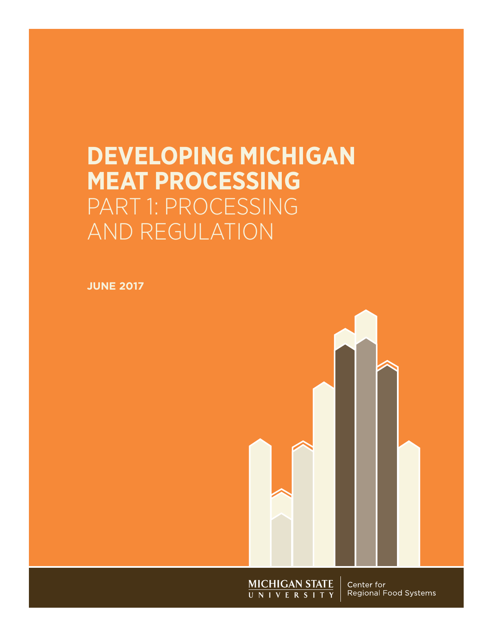# **DEVELOPING MICHIGAN MEAT PROCESSING**  PART 1: PROCESSING AND REGULATION

**JUNE 2017**



**MICHIGAN STATE**<br>UNIVERSITY

Center for Regional Food Systems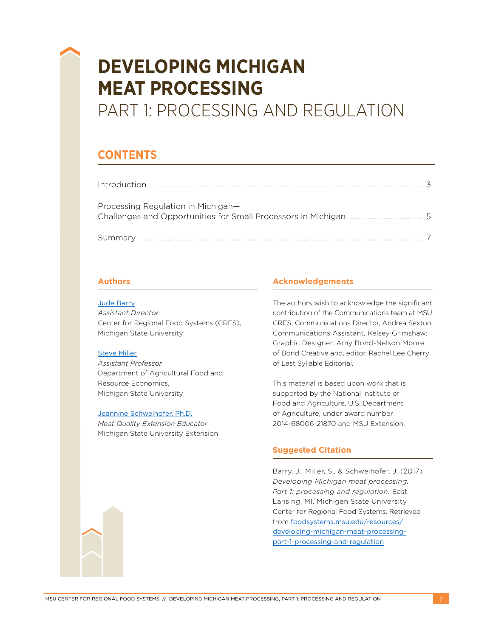# **DEVELOPING MICHIGAN MEAT PROCESSING**

## PART 1: PROCESSING AND REGULATION

### **CONTENTS**

| Processing Regulation in Michigan- |  |
|------------------------------------|--|
|                                    |  |

### **Authors**

### [Jude Barry](mailto:barryjud%40anr.msu.edu?subject=)

*Assistant Director* Center for Regional Food Systems (CRFS), Michigan State University

### [Steve Miller](mailto:mill1707%40anr.msu.edu?subject=)

*Assistant Professor*  Department of Agricultural Food and Resource Economics, Michigan State University

#### [Jeannine Schweihofer,](mailto:grobbelj%40anr.msu.edu?subject=) Ph.D.

*Meat Quality Extension Educator*  Michigan State University Extension

### **Acknowledgements**

The authors wish to acknowledge the significant contribution of the Communications team at MSU CRFS; Communications Director, Andrea Sexton; Communications Assistant, Kelsey Grimshaw; Graphic Designer, Amy Bond-Nelson Moore of Bond Creative and, editor, Rachel Lee Cherry of Last Syllable Editorial.

This material is based upon work that is supported by the National Institute of Food and Agriculture, U.S. Department of Agriculture, under award number 2014-68006-21870 and MSU Extension.

### **Suggested Citation**

Barry, J., Miller, S., & Schweihofer, J. (2017) *Developing Michigan meat processing, Part 1: processing and regulation.* East Lansing, MI. Michigan State University Center for Regional Food Systems. Retrieved from foodsystems.[msu.edu/resources/](http://foodsystems.msu.edu/resources/developing-michigan-meat-processing-part-1-processing-and-regulation) [developing-michigan-meat-processing](http://foodsystems.msu.edu/resources/developing-michigan-meat-processing-part-1-processing-and-regulation)[part-1-processing-and-regulation](http://foodsystems.msu.edu/resources/developing-michigan-meat-processing-part-1-processing-and-regulation)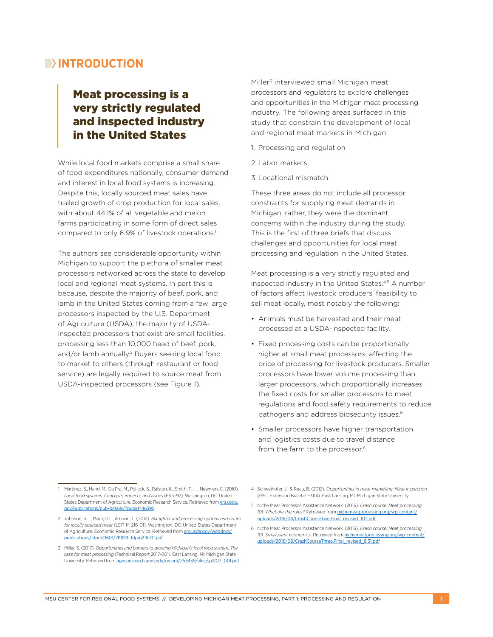### **INTRODUCTION**

### Meat processing is a very strictly regulated and inspected industry in the United States

While local food markets comprise a small share of food expenditures nationally, consumer demand and interest in local food systems is increasing. Despite this, locally sourced meat sales have trailed growth of crop production for local sales, with about 44.1% of all vegetable and melon farms participating in some form of direct sales compared to only 6.9% of livestock operations.<sup>1</sup>

The authors see considerable opportunity within Michigan to support the plethora of smaller meat processors networked across the state to develop local and regional meat systems. In part this is because, despite the majority of beef, pork, and lamb in the United States coming from a few large processors inspected by the U.S. Department of Agriculture (USDA), the majority of USDAinspected processors that exist are small facilities, processing less than 10,000 head of beef, pork, and/or lamb annually.2 Buyers seeking local food to market to others (through restaurant or food service) are legally required to source meat from USDA-inspected processors (see Figure 1).

Miller3 interviewed small Michigan meat processors and regulators to explore challenges and opportunities in the Michigan meat processing industry. The following areas surfaced in this study that constrain the development of local and regional meat markets in Michigan:

- 1. Processing and regulation
- 2. Labor markets
- 3. Locational mismatch

These three areas do not include all processor constraints for supplying meat demands in Michigan; rather, they were the dominant concerns within the industry during the study. This is the first of three briefs that discuss challenges and opportunities for local meat processing and regulation in the United States.

Meat processing is a very strictly regulated and inspected industry in the United States.4,5 A number of factors affect livestock producers' feasibility to sell meat locally, most notably the following:

- Animals must be harvested and their meat processed at a USDA-inspected facility.
- Fixed processing costs can be proportionally higher at small meat processors, affecting the price of processing for livestock producers. Smaller processors have lower volume processing than larger processors, which proportionally increases the fixed costs for smaller processors to meet regulations and food safety requirements to reduce pathogens and address biosecurity issues.6
- Smaller processors have higher transportation and logistics costs due to travel distance from the farm to the processor.<sup>6</sup>

<sup>1</sup> Martinez, S., Hand, M., Da Pra, M., Pollack, S., Ralston, K., Smith, T., ., . Newman, C. (2010). *Local food systems: Concepts, impacts, and issues* (ERR-97). Washington, DC: United States Department of Agriculture, Economic Research Service. Retrieved from [ers.usda.](https://www.ers.usda.gov/publications/pub-details/?pubid=46395) [gov/publications/pub-details/?pubid=46395](https://www.ers.usda.gov/publications/pub-details/?pubid=46395)

<sup>2</sup> Johnson, R.J., Marti, D.L., & Gwin, L. (2012). *Slaughter and processing options and issues for locally sourced meat* (LDP-M-216-01). Washington, DC: United States Department of Agriculture, Economic Research Service. Retrieved from [ers.usda.gov/webdocs/](http://ers.usda.gov/webdocs/publications/ldpm21601/28829_ldpm216-01.pdf) [publications/ldpm21601/28829\\_ldpm216-01.pdf](http://ers.usda.gov/webdocs/publications/ldpm21601/28829_ldpm216-01.pdf)

<sup>3</sup> Miller, S. (2017). *Opportunities and barriers to growing Michigan's local food system: The case for meat processing* (Technical Report 2017-001). East Lansing, MI: Michigan State University. Retrieved from [ageconsearch.umn.edu/record/253439/files/sp2017\\_001.pdf](http://ageconsearch.umn.edu/record/253439/files/sp2017_001.pdf)

<sup>4</sup> Schweihofer, J., & Reau, B. (2012). *Opportunities in meat marketing: Meat inspection* (MSU Extension Bulletin E3114). East Lansing, MI: Michigan State University.

<sup>5</sup> Niche Meat Processor Assistance Network. (2016). *Crash course: Meat processing 101: What are the rules?* Retrieved from [nichemeatprocessing.org/wp-content/](http://nichemeatprocessing.org/wp-content/uploads/2016/08/CrashCourseTwo.Final_revised_10.1.pdf) [uploads/2016/08/CrashCourseTwo.Final\\_revised\\_10.1.pdf](http://nichemeatprocessing.org/wp-content/uploads/2016/08/CrashCourseTwo.Final_revised_10.1.pdf)

<sup>6</sup> Niche Meat Processor Assistance Network. (2016). *Crash course: Meat processing*  101: Small plant economics. Retrieved from **nichemeatprod** [uploads/2016/08/CrashCourseThree.Final\\_revised\\_8.31.pdf](http://nichemeatprocessing.org/wp-content/uploads/2016/08/CrashCourseThree.Final_revised_8.31.pdf)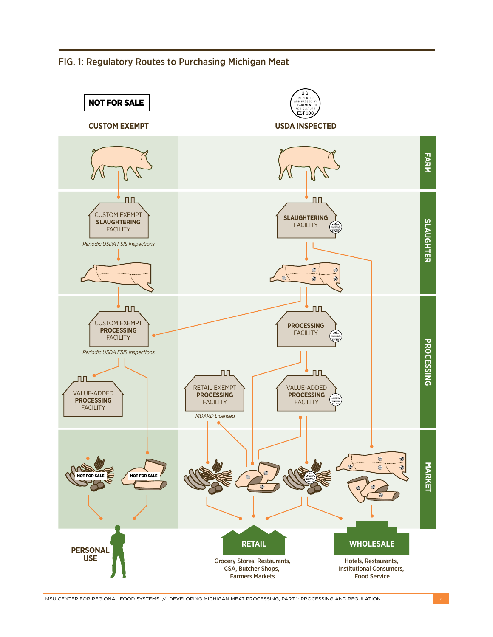FIG. 1: Regulatory Routes to Purchasing Michigan Meat



MSU CENTER FOR REGIONAL FOOD SYSTEMS // DEVELOPING MICHIGAN MEAT PROCESSING, PART 1: PROCESSING AND REGULATION 4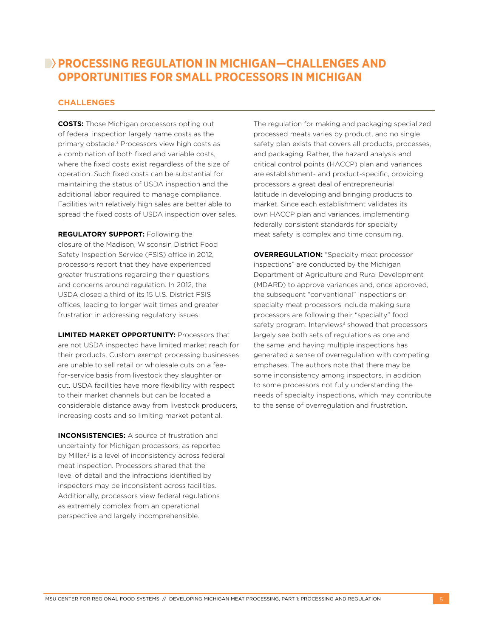### **PROCESSING REGULATION IN MICHIGAN-CHALLENGES AND OPPORTUNITIES FOR SMALL PROCESSORS IN MICHIGAN**

### **CHALLENGES**

**COSTS:** Those Michigan processors opting out of federal inspection largely name costs as the primary obstacle.3 Processors view high costs as a combination of both fixed and variable costs, where the fixed costs exist regardless of the size of operation. Such fixed costs can be substantial for maintaining the status of USDA inspection and the additional labor required to manage compliance. Facilities with relatively high sales are better able to spread the fixed costs of USDA inspection over sales.

**REGULATORY SUPPORT:** Following the closure of the Madison, Wisconsin District Food Safety Inspection Service (FSIS) office in 2012, processors report that they have experienced greater frustrations regarding their questions and concerns around regulation. In 2012, the USDA closed a third of its 15 U.S. District FSIS offices, leading to longer wait times and greater frustration in addressing regulatory issues.

**LIMITED MARKET OPPORTUNITY:** Processors that are not USDA inspected have limited market reach for their products. Custom exempt processing businesses are unable to sell retail or wholesale cuts on a feefor-service basis from livestock they slaughter or cut. USDA facilities have more flexibility with respect to their market channels but can be located a considerable distance away from livestock producers, increasing costs and so limiting market potential.

**INCONSISTENCIES:** A source of frustration and uncertainty for Michigan processors, as reported by Miller,<sup>3</sup> is a level of inconsistency across federal meat inspection. Processors shared that the level of detail and the infractions identified by inspectors may be inconsistent across facilities. Additionally, processors view federal regulations as extremely complex from an operational perspective and largely incomprehensible.

The regulation for making and packaging specialized processed meats varies by product, and no single safety plan exists that covers all products, processes, and packaging. Rather, the hazard analysis and critical control points (HACCP) plan and variances are establishment- and product-specific, providing processors a great deal of entrepreneurial latitude in developing and bringing products to market. Since each establishment validates its own HACCP plan and variances, implementing federally consistent standards for specialty meat safety is complex and time consuming.

**OVERREGULATION:** "Specialty meat processor inspections" are conducted by the Michigan Department of Agriculture and Rural Development (MDARD) to approve variances and, once approved, the subsequent "conventional" inspections on specialty meat processors include making sure processors are following their "specialty" food safety program. Interviews<sup>3</sup> showed that processors largely see both sets of regulations as one and the same, and having multiple inspections has generated a sense of overregulation with competing emphases. The authors note that there may be some inconsistency among inspectors, in addition to some processors not fully understanding the needs of specialty inspections, which may contribute to the sense of overregulation and frustration.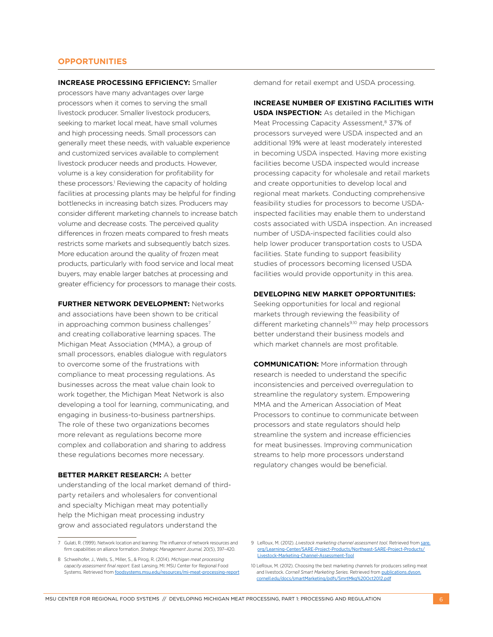### **OPPORTUNITIES**

**INCREASE PROCESSING EFFICIENCY:** Smaller processors have many advantages over large processors when it comes to serving the small livestock producer. Smaller livestock producers, seeking to market local meat, have small volumes and high processing needs. Small processors can generally meet these needs, with valuable experience and customized services available to complement livestock producer needs and products. However, volume is a key consideration for profitability for these processors.<sup>1</sup> Reviewing the capacity of holding facilities at processing plants may be helpful for finding bottlenecks in increasing batch sizes. Producers may consider different marketing channels to increase batch volume and decrease costs. The perceived quality differences in frozen meats compared to fresh meats restricts some markets and subsequently batch sizes. More education around the quality of frozen meat products, particularly with food service and local meat buyers, may enable larger batches at processing and greater efficiency for processors to manage their costs.

**FURTHER NETWORK DEVELOPMENT:** Networks and associations have been shown to be critical in approaching common business challenges<sup>7</sup> and creating collaborative learning spaces. The Michigan Meat Association (MMA), a group of small processors, enables dialogue with regulators to overcome some of the frustrations with compliance to meat processing regulations. As businesses across the meat value chain look to work together, the Michigan Meat Network is also developing a tool for learning, communicating, and engaging in business-to-business partnerships. The role of these two organizations becomes more relevant as regulations become more complex and collaboration and sharing to address these regulations becomes more necessary.

#### **BETTER MARKET RESEARCH:** A better

understanding of the local market demand of thirdparty retailers and wholesalers for conventional and specialty Michigan meat may potentially help the Michigan meat processing industry grow and associated regulators understand the

demand for retail exempt and USDA processing.

**INCREASE NUMBER OF EXISTING FACILITIES WITH USDA INSPECTION:** As detailed in the Michigan Meat Processing Capacity Assessment,<sup>8</sup> 37% of processors surveyed were USDA inspected and an additional 19% were at least moderately interested in becoming USDA inspected. Having more existing facilities become USDA inspected would increase processing capacity for wholesale and retail markets and create opportunities to develop local and regional meat markets. Conducting comprehensive feasibility studies for processors to become USDAinspected facilities may enable them to understand costs associated with USDA inspection. An increased number of USDA-inspected facilities could also help lower producer transportation costs to USDA facilities. State funding to support feasibility studies of processors becoming licensed USDA facilities would provide opportunity in this area.

#### **DEVELOPING NEW MARKET OPPORTUNITIES:**

Seeking opportunities for local and regional markets through reviewing the feasibility of different marketing channels<sup>9,10</sup> may help processors better understand their business models and which market channels are most profitable.

**COMMUNICATION:** More information through research is needed to understand the specific inconsistencies and perceived overregulation to streamline the regulatory system. Empowering MMA and the American Association of Meat Processors to continue to communicate between processors and state regulators should help streamline the system and increase efficiencies for meat businesses. Improving communication streams to help more processors understand regulatory changes would be beneficial.

<sup>7</sup> Gulati, R. (1999). Network location and learning: The influence of network resources and firm capabilities on alliance formation. *Strategic Management Journal,* 20(5), 397–420.

<sup>8</sup> Schweihofer, J., Wells, S., Miller, S., & Pirog, R. (2014). *Michigan meat processing capacity assessment final report.* East Lansing, MI: MSU Center for Regional Food Systems. Retrieved from [foodsystems.msu.edu/resources/mi-meat-processing-report](http://foodsystems.msu.edu/resources/mi-meat-processing-report)

<sup>9</sup> LeRoux, M. (2012). *Livestock marketing channel assessment tool.* Retrieved from [sare.](http://sare.org/Learning-Center/SARE-Project-Products/Northeast-SARE-Project-Products/Livestock-Marketing-Channel-Assessment-Tool) [org/Learning-Center/SARE-Project-Products/Northeast-SARE-Project-Products/](http://sare.org/Learning-Center/SARE-Project-Products/Northeast-SARE-Project-Products/Livestock-Marketing-Channel-Assessment-Tool) [Livestock-Marketing-Channel-Assessment-Tool](http://sare.org/Learning-Center/SARE-Project-Products/Northeast-SARE-Project-Products/Livestock-Marketing-Channel-Assessment-Tool)

<sup>10</sup> LeRoux, M. (2012). Choosing the best marketing channels for producers selling meat and livestock. *Cornell Smart Marketing Series.* Retrieved from [publications.dyson.](http://publications.dyson.cornell.edu/docs/smartMarketing/pdfs/SmrtMkg%20Oct2012.pdf) [cornell.edu/docs/smartMarketing/pdfs/SmrtMkg%20Oct2012.pdf](http://publications.dyson.cornell.edu/docs/smartMarketing/pdfs/SmrtMkg%20Oct2012.pdf)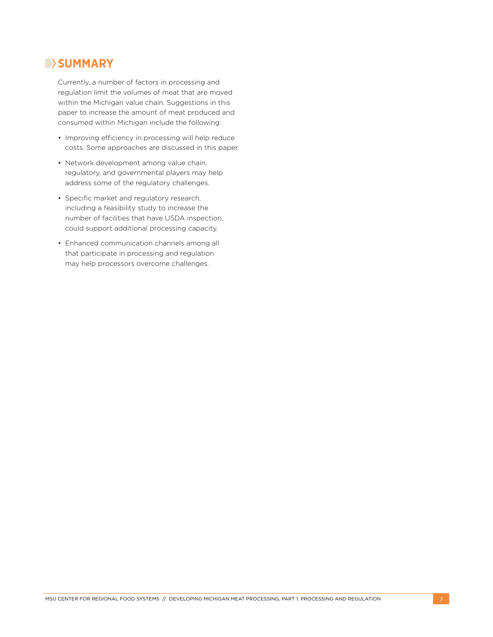### **B**>SUMMARY

Currently, a number of factors in processing and regulation limit the volumes of meat that are moved within the Michigan value chain. Suggestions in this paper to increase the amount of meat produced and consumed within Michigan include the following:

- Improving efficiency in processing will help reduce costs. Some approaches are discussed in this paper.
- Network development among value chain, regulatory, and governmental players may help address some of the regulatory challenges.
- Specific market and regulatory research, including a feasibility study to increase the number of facilities that have USDA inspection, could support additional processing capacity.
- Enhanced communication channels among all that participate in processing and regulation may help processors overcome challenges.